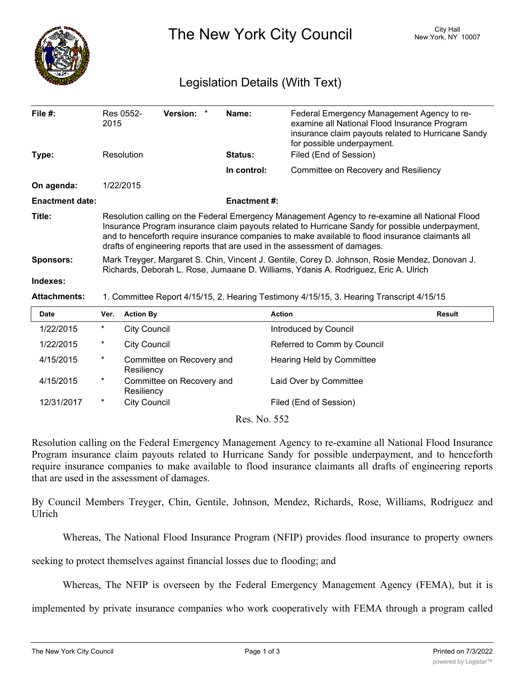

The New York City Council New York, NY 10007

## Legislation Details (With Text)

| File $#$ :             | 2015                                                                                                                                                                                                                                                                                                                                                                               | Res 0552-                                                                                | <b>Version:</b><br>$\ast$ | Name:               | Federal Emergency Management Agency to re-<br>examine all National Flood Insurance Program<br>insurance claim payouts related to Hurricane Sandy<br>for possible underpayment. |               |  |
|------------------------|------------------------------------------------------------------------------------------------------------------------------------------------------------------------------------------------------------------------------------------------------------------------------------------------------------------------------------------------------------------------------------|------------------------------------------------------------------------------------------|---------------------------|---------------------|--------------------------------------------------------------------------------------------------------------------------------------------------------------------------------|---------------|--|
| Type:                  | Resolution                                                                                                                                                                                                                                                                                                                                                                         |                                                                                          |                           | Status:             | Filed (End of Session)                                                                                                                                                         |               |  |
|                        |                                                                                                                                                                                                                                                                                                                                                                                    |                                                                                          |                           | In control:         | Committee on Recovery and Resiliency                                                                                                                                           |               |  |
| On agenda:             |                                                                                                                                                                                                                                                                                                                                                                                    | 1/22/2015                                                                                |                           |                     |                                                                                                                                                                                |               |  |
| <b>Enactment date:</b> |                                                                                                                                                                                                                                                                                                                                                                                    |                                                                                          |                           | <b>Enactment #:</b> |                                                                                                                                                                                |               |  |
| Title:                 | Resolution calling on the Federal Emergency Management Agency to re-examine all National Flood<br>Insurance Program insurance claim payouts related to Hurricane Sandy for possible underpayment,<br>and to henceforth require insurance companies to make available to flood insurance claimants all<br>drafts of engineering reports that are used in the assessment of damages. |                                                                                          |                           |                     |                                                                                                                                                                                |               |  |
| <b>Sponsors:</b>       | Mark Treyger, Margaret S. Chin, Vincent J. Gentile, Corey D. Johnson, Rosie Mendez, Donovan J.<br>Richards, Deborah L. Rose, Jumaane D. Williams, Ydanis A. Rodriguez, Eric A. Ulrich                                                                                                                                                                                              |                                                                                          |                           |                     |                                                                                                                                                                                |               |  |
| Indexes:               |                                                                                                                                                                                                                                                                                                                                                                                    |                                                                                          |                           |                     |                                                                                                                                                                                |               |  |
| <b>Attachments:</b>    |                                                                                                                                                                                                                                                                                                                                                                                    | 1. Committee Report 4/15/15, 2. Hearing Testimony 4/15/15, 3. Hearing Transcript 4/15/15 |                           |                     |                                                                                                                                                                                |               |  |
| <b>Date</b>            | Ver.                                                                                                                                                                                                                                                                                                                                                                               | <b>Action By</b>                                                                         |                           |                     | <b>Action</b>                                                                                                                                                                  | <b>Result</b> |  |
| 1/22/2015              | $^\star$                                                                                                                                                                                                                                                                                                                                                                           | <b>City Council</b>                                                                      |                           |                     | Introduced by Council                                                                                                                                                          |               |  |
| 1/22/2015              | $^\star$                                                                                                                                                                                                                                                                                                                                                                           | <b>City Council</b>                                                                      |                           |                     | Referred to Comm by Council                                                                                                                                                    |               |  |
| 4/15/2015              | $^\star$                                                                                                                                                                                                                                                                                                                                                                           | Resiliency                                                                               | Committee on Recovery and |                     | Hearing Held by Committee                                                                                                                                                      |               |  |
| 4/15/2015              | $^\ast$                                                                                                                                                                                                                                                                                                                                                                            | Resiliency                                                                               | Committee on Recovery and |                     | Laid Over by Committee                                                                                                                                                         |               |  |

12/31/2017 \* City Council **Filed (End of Session)** 

Res. No. 552

Resolution calling on the Federal Emergency Management Agency to re-examine all National Flood Insurance Program insurance claim payouts related to Hurricane Sandy for possible underpayment, and to henceforth require insurance companies to make available to flood insurance claimants all drafts of engineering reports that are used in the assessment of damages.

By Council Members Treyger, Chin, Gentile, Johnson, Mendez, Richards, Rose, Williams, Rodriguez and Ulrich

Whereas, The National Flood Insurance Program (NFIP) provides flood insurance to property owners

seeking to protect themselves against financial losses due to flooding; and

Whereas, The NFIP is overseen by the Federal Emergency Management Agency (FEMA), but it is

implemented by private insurance companies who work cooperatively with FEMA through a program called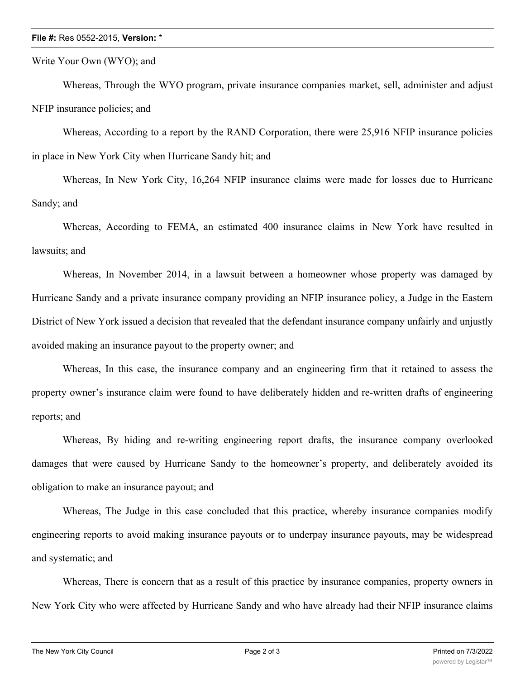## **File #:** Res 0552-2015, **Version:** \*

Write Your Own (WYO); and

Whereas, Through the WYO program, private insurance companies market, sell, administer and adjust NFIP insurance policies; and

Whereas, According to a report by the RAND Corporation, there were 25,916 NFIP insurance policies in place in New York City when Hurricane Sandy hit; and

Whereas, In New York City, 16,264 NFIP insurance claims were made for losses due to Hurricane Sandy; and

Whereas, According to FEMA, an estimated 400 insurance claims in New York have resulted in lawsuits; and

Whereas, In November 2014, in a lawsuit between a homeowner whose property was damaged by Hurricane Sandy and a private insurance company providing an NFIP insurance policy, a Judge in the Eastern District of New York issued a decision that revealed that the defendant insurance company unfairly and unjustly avoided making an insurance payout to the property owner; and

Whereas, In this case, the insurance company and an engineering firm that it retained to assess the property owner's insurance claim were found to have deliberately hidden and re-written drafts of engineering reports; and

Whereas, By hiding and re-writing engineering report drafts, the insurance company overlooked damages that were caused by Hurricane Sandy to the homeowner's property, and deliberately avoided its obligation to make an insurance payout; and

Whereas, The Judge in this case concluded that this practice, whereby insurance companies modify engineering reports to avoid making insurance payouts or to underpay insurance payouts, may be widespread and systematic; and

Whereas, There is concern that as a result of this practice by insurance companies, property owners in New York City who were affected by Hurricane Sandy and who have already had their NFIP insurance claims